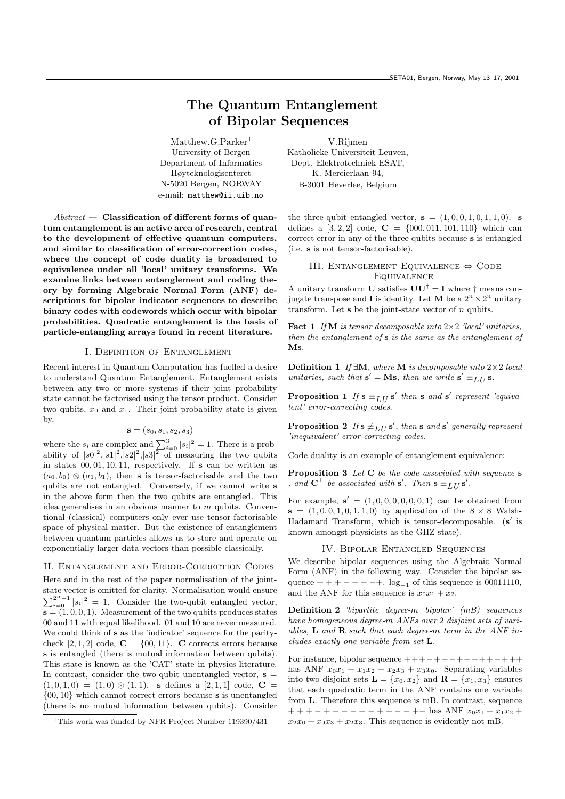# The Quantum Entanglement of Bipolar Sequences

Matthew.G.Parker<sup>1</sup> University of Bergen Department of Informatics Høyteknologisenteret N-5020 Bergen, NORWAY e-mail: matthew@ii.uib.no

 $Abstract - Classification$  of different forms of quantum entanglement is an active area of research, central to the development of effective quantum computers, and similar to classification of error-correction codes, where the concept of code duality is broadened to equivalence under all 'local' unitary transforms. We examine links between entanglement and coding theory by forming Algebraic Normal Form (ANF) descriptions for bipolar indicator sequences to describe binary codes with codewords which occur with bipolar probabilities. Quadratic entanglement is the basis of particle-entangling arrays found in recent literature.

## I. Definition of Entanglement

Recent interest in Quantum Computation has fuelled a desire to understand Quantum Entanglement. Entanglement exists between any two or more systems if their joint probability state cannot be factorised using the tensor product. Consider two qubits,  $x_0$  and  $x_1$ . Their joint probability state is given by,

$$
\mathbf{s}=(s_0,s_1,s_2,s_3)
$$

where the  $s_i$  are complex and  $\sum_{i=0}^{3} |s_i|^2 = 1$ . There is a probability of  $|s0|^2$ ,  $|s1|^2$ ,  $|s2|^2$ ,  $|s3|^2$  of measuring the two qubits in states  $00, 01, 10, 11$ , respectively. If s can be written as  $(a_0, b_0) \otimes (a_1, b_1)$ , then **s** is tensor-factorisable and the two qubits are not entangled. Conversely, if we cannot write s in the above form then the two qubits are entangled. This idea generalises in an obvious manner to m qubits. Conventional (classical) computers only ever use tensor-factorisable space of physical matter. But the existence of entanglement between quantum particles allows us to store and operate on exponentially larger data vectors than possible classically.

#### II. Entanglement and Error-Correction Codes

Here and in the rest of the paper normalisation of the joint- $\sum_{i=0}^{2^n-1} |s_i|^2 = 1$ . Consider the two-qubit entangled vector, state vector is omitted for clarity. Normalisation would ensure  $s = (1, 0, 0, 1)$ . Measurement of the two qubits produces states 00 and 11 with equal likelihood. 01 and 10 are never measured. We could think of s as the 'indicator' sequence for the paritycheck  $[2, 1, 2]$  code,  $C = \{00, 11\}$ . C corrects errors because s is entangled (there is mutual information between qubits). This state is known as the 'CAT' state in physics literature. In contrast, consider the two-qubit unentangled vector,  $s =$  $(1, 0, 1, 0) = (1, 0) \otimes (1, 1)$ . s defines a [2, 1, 1] code, C = {00, 10} which cannot correct errors because s is unentangled (there is no mutual information between qubits). Consider

V.Rijmen Katholieke Universiteit Leuven, Dept. Elektrotechniek-ESAT, K. Mercierlaan 94, B-3001 Heverlee, Belgium

the three-qubit entangled vector,  $s = (1, 0, 0, 1, 0, 1, 1, 0)$ . s defines a [3, 2, 2] code,  $C = \{000, 011, 101, 110\}$  which can correct error in any of the three qubits because s is entangled (i.e. s is not tensor-factorisable).

III. ENTANGLEMENT EQUIVALENCE  $\Leftrightarrow$  CODE Equivalence

A unitary transform **U** satisfies  $UU^{\dagger} = I$  where  $\dagger$  means conjugate transpose and **I** is identity. Let **M** be a  $2^n \times 2^n$  unitary transform. Let  $s$  be the joint-state vector of  $n$  qubits.

Fact 1 If M is tensor decomposable into  $2\times 2$  'local' unitaries, then the entanglement of s is the same as the entanglement of Ms.

**Definition 1** If  $\exists M$ , where M is decomposable into  $2 \times 2$  local unitaries, such that  $\mathbf{s}' = \mathbf{M}\mathbf{s}$ , then we write  $\mathbf{s}' \equiv_{LU} \mathbf{s}$ .

**Proposition 1** If  $\mathbf{s} \equiv_{LU} \mathbf{s}'$  then  $\mathbf{s}$  and  $\mathbf{s}'$  represent 'equivalent' error-correcting codes.

**Proposition 2** If  $s \neq_{LU} s'$ , then s and s' generally represent 'inequivalent' error-correcting codes.

Code duality is an example of entanglement equivalence:

Proposition 3 Let C be the code associated with sequence s , and  $\mathbf{C}^{\perp}$  be associated with  $\mathbf{s}'$ . Then  $\mathbf{s} \equiv_{LU} \mathbf{s}'$ .

For example,  $s' = (1, 0, 0, 0, 0, 0, 0, 1)$  can be obtained from  $s = (1, 0, 0, 1, 0, 1, 1, 0)$  by application of the  $8 \times 8$  Walsh-Hadamard Transform, which is tensor-decomposable. (s' is known amongst physicists as the GHZ state).

## IV. Bipolar Entangled Sequences

We describe bipolar sequences using the Algebraic Normal Form (ANF) in the following way. Consider the bipolar sequence  $++---+$ .  $log_{-1}$  of this sequence is 00011110, and the ANF for this sequence is  $x_0x_1 + x_2$ .

Definition 2 'bipartite degree-m bipolar' (mB) sequences have homogeneous degree-m ANFs over 2 disjoint sets of variables,  $L$  and  $R$  such that each degree-m term in the ANF includes exactly one variable from set L.

For instance, bipolar sequence  $+++-++-++-++-++++$ has ANF  $x_0x_1 + x_1x_2 + x_2x_3 + x_3x_0$ . Separating variables into two disjoint sets  $\mathbf{L} = \{x_0, x_2\}$  and  $\mathbf{R} = \{x_1, x_3\}$  ensures that each quadratic term in the ANF contains one variable from L. Therefore this sequence is mB. In contrast, sequence  $+ + + - + - - - + - + + - - - + -$  has ANF  $x_0x_1 + x_1x_2 +$  $x_2x_0 + x_0x_3 + x_2x_3$ . This sequence is evidently not mB.

<sup>&</sup>lt;sup>1</sup>This work was funded by NFR Project Number 119390/431